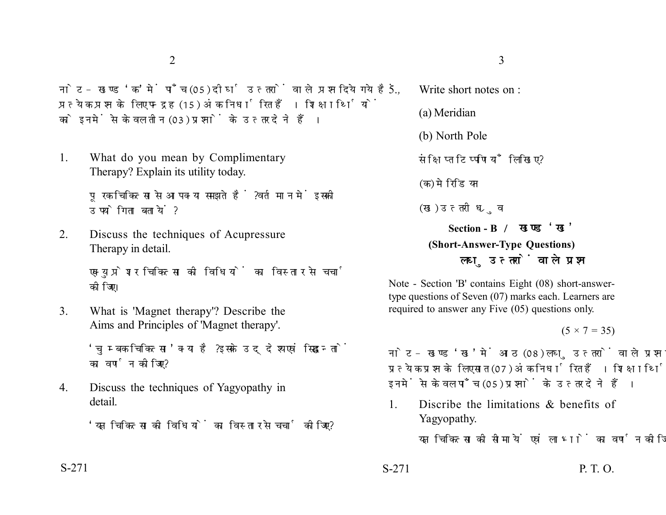नोट- खण्ड 'क' में पाँच (05) दीर्घ उत्तरों वाले प्रश्न दिये गये हैं. प्रत्येक प्रश्न के लिए पन्द्रह (15) अंक निर्धारित हैं। शिक्षार्थियों को इनमें से केवल तीन (03) प्रश्नों के उत्तर देने हैं।

1. What do you mean by Complimentary Therapy? Explain its utility today.

> पूरक चिकित्सा से आप क्या समझते हैं ? वर्तमान में इसकी उपयोगिता बतायें ?

2. Discuss the techniques of Acupressure Therapy in detail.

> एक्युप्रेशर चिकित्सा की विधियों का विस्तार से चर्चा कोजिए।

3. What is 'Magnet therapy'? Describe the Aims and Principles of 'Magnet therapy'.

> 'चुम्बक चिकित्सा' क्या है? इसके उद्देश्य एवं सिद्धान्तों का वर्णन कोजिए?

4. Discuss the techniques of Yagyopathy in detail.

'यज्ञ चिकित्सा को विधियों का विस्तार से चर्चा कोजिए ?

5. Write short notes on :

(a) Meridian

(b) North Pole

संक्षिप्त टिप्पणियाँ लिखिए ?

(क) मेरिडियन

(ख) उत्तरी ध्रुव

**Section - B (Short-Answer-Type Questions)** लघ उत्तरों वाले प्रश्न

Note - Section 'B' contains Eight (08) short-answertype questions of Seven (07) marks each. Learners are required to answer any Five (05) questions only.

 $(5 \times 7 = 35)$ 

नोट- खण्ड 'ख' में आठ (08) लघु उत्तरों वाले प्रश्न दिये गये हैं, प्रत्येक प्रश्न के लिए सात (07) अंक निर्धारित हैं। शिक्षार्थियों को इनमें से केवल पाँच (05) प्रश्नों के उत्तर देने हैं।

1. Discribe the limitations & benefits of Yagyopathy.

यज्ञ चिकित्सा की सीमायें एवं लाभों का वर्णन कीजिए?

S-271 P. T. O.